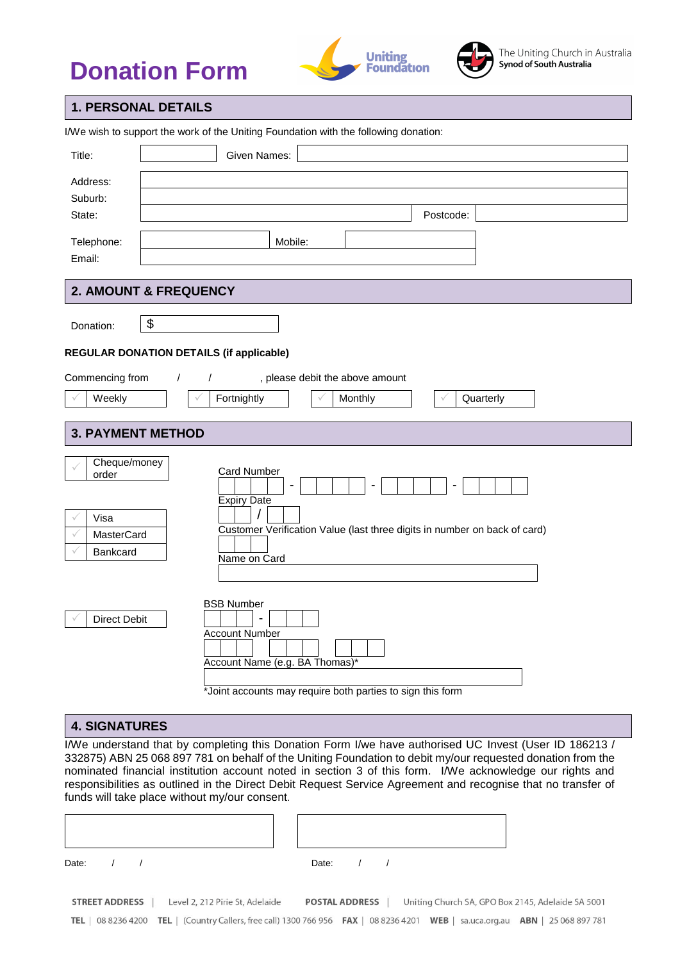# **Donation Form**





### **1. PERSONAL DETAILS**

|                                                         | I/We wish to support the work of the Uniting Foundation with the following donation:                                                                                                                                                                                                                                                                                                                                                                                                              |
|---------------------------------------------------------|---------------------------------------------------------------------------------------------------------------------------------------------------------------------------------------------------------------------------------------------------------------------------------------------------------------------------------------------------------------------------------------------------------------------------------------------------------------------------------------------------|
| Title:                                                  | Given Names:                                                                                                                                                                                                                                                                                                                                                                                                                                                                                      |
| Address:<br>Suburb:<br>State:                           | Postcode:                                                                                                                                                                                                                                                                                                                                                                                                                                                                                         |
| Telephone:<br>Email:                                    | Mobile:                                                                                                                                                                                                                                                                                                                                                                                                                                                                                           |
|                                                         | <b>2. AMOUNT &amp; FREQUENCY</b>                                                                                                                                                                                                                                                                                                                                                                                                                                                                  |
| Donation:                                               | \$                                                                                                                                                                                                                                                                                                                                                                                                                                                                                                |
|                                                         | <b>REGULAR DONATION DETAILS (if applicable)</b>                                                                                                                                                                                                                                                                                                                                                                                                                                                   |
| Commencing from<br>Weekly                               | , please debit the above amount<br>$\prime$<br>Fortnightly<br>Monthly<br>Quarterly                                                                                                                                                                                                                                                                                                                                                                                                                |
| <b>3. PAYMENT METHOD</b>                                |                                                                                                                                                                                                                                                                                                                                                                                                                                                                                                   |
| Cheque/money<br>order<br>Visa<br>MasterCard<br>Bankcard | <b>Card Number</b><br><b>Expiry Date</b><br>Customer Verification Value (last three digits in number on back of card)<br>Name on Card                                                                                                                                                                                                                                                                                                                                                             |
| <b>Direct Debit</b>                                     | <b>BSB Number</b><br><b>Account Number</b><br>Account Name (e.g. BA Thomas)*<br>*Joint accounts may require both parties to sign this form                                                                                                                                                                                                                                                                                                                                                        |
| <b>4. SIGNATURES</b>                                    |                                                                                                                                                                                                                                                                                                                                                                                                                                                                                                   |
|                                                         | I/We understand that by completing this Donation Form I/we have authorised UC Invest (User ID 186213 /<br>332875) ABN 25 068 897 781 on behalf of the Uniting Foundation to debit my/our requested donation from the<br>nominated financial institution account noted in section 3 of this form. I/We acknowledge our rights and<br>responsibilities as outlined in the Direct Debit Request Service Agreement and recognise that no transfer of<br>funds will take place without my/our consent. |
|                                                         |                                                                                                                                                                                                                                                                                                                                                                                                                                                                                                   |

Date: / / / Date: / / **STREET ADDRESS** | Level 2, 212 Pirie St, Adelaide POSTAL ADDRESS | Uniting Church SA, GPO Box 2145, Adelaide SA 5001 TEL | 08 8236 4200 TEL | (Country Callers, free call) 1300 766 956 FAX | 08 8236 4201 WEB | sa.uca.org.au ABN | 25 068 897 781